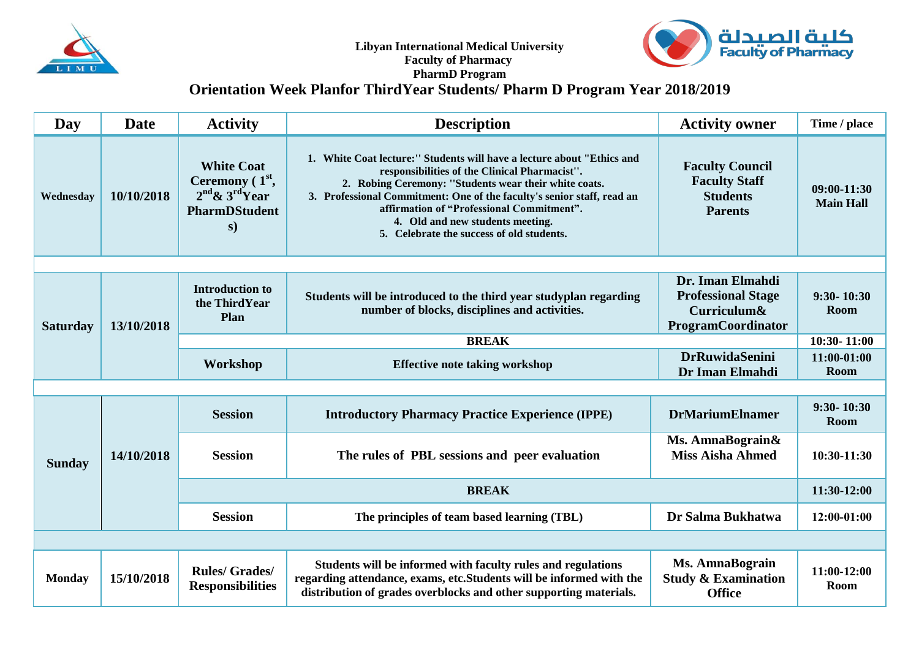



## **PharmD Program**

## **Orientation Week Planfor ThirdYear Students/ Pharm D Program Year 2018/2019**

| Day             | <b>Date</b> | <b>Activity</b>                                                                           | <b>Description</b>                                                                                                                                                                                                                                                                                                                                                                       | <b>Activity owner</b>                                                               | Time / place                    |  |  |  |  |
|-----------------|-------------|-------------------------------------------------------------------------------------------|------------------------------------------------------------------------------------------------------------------------------------------------------------------------------------------------------------------------------------------------------------------------------------------------------------------------------------------------------------------------------------------|-------------------------------------------------------------------------------------|---------------------------------|--|--|--|--|
| Wednesday       | 10/10/2018  | <b>White Coat</b><br>Ceremony $(1st,$<br>$2nd$ & $3rd$ Year<br><b>PharmDStudent</b><br>s) | 1. White Coat lecture:" Students will have a lecture about "Ethics and<br>responsibilities of the Clinical Pharmacist".<br>2. Robing Ceremony: "Students wear their white coats.<br>3. Professional Commitment: One of the faculty's senior staff, read an<br>affirmation of "Professional Commitment".<br>4. Old and new students meeting.<br>5. Celebrate the success of old students. | <b>Faculty Council</b><br><b>Faculty Staff</b><br><b>Students</b><br><b>Parents</b> | 09:00-11:30<br><b>Main Hall</b> |  |  |  |  |
|                 |             |                                                                                           |                                                                                                                                                                                                                                                                                                                                                                                          |                                                                                     |                                 |  |  |  |  |
| <b>Saturday</b> | 13/10/2018  | <b>Introduction to</b><br>the Third Year<br>Plan                                          | Students will be introduced to the third year studyplan regarding<br>number of blocks, disciplines and activities.                                                                                                                                                                                                                                                                       | Dr. Iman Elmahdi<br><b>Professional Stage</b><br>Curriculum&<br>ProgramCoordinator  | 9:30-10:30<br><b>Room</b>       |  |  |  |  |
|                 |             | <b>BREAK</b>                                                                              |                                                                                                                                                                                                                                                                                                                                                                                          |                                                                                     |                                 |  |  |  |  |
|                 |             | Workshop                                                                                  | <b>Effective note taking workshop</b>                                                                                                                                                                                                                                                                                                                                                    | <b>DrRuwidaSenini</b><br>Dr Iman Elmahdi                                            | 11:00-01:00<br><b>Room</b>      |  |  |  |  |
|                 |             |                                                                                           |                                                                                                                                                                                                                                                                                                                                                                                          |                                                                                     |                                 |  |  |  |  |
| <b>Sunday</b>   | 14/10/2018  | <b>Session</b>                                                                            | <b>Introductory Pharmacy Practice Experience (IPPE)</b>                                                                                                                                                                                                                                                                                                                                  | <b>DrMariumElnamer</b>                                                              | $9:30 - 10:30$<br><b>Room</b>   |  |  |  |  |
|                 |             | <b>Session</b>                                                                            | The rules of PBL sessions and peer evaluation                                                                                                                                                                                                                                                                                                                                            | Ms. AmnaBograin&<br><b>Miss Aisha Ahmed</b>                                         | 10:30-11:30                     |  |  |  |  |
|                 |             | <b>BREAK</b>                                                                              |                                                                                                                                                                                                                                                                                                                                                                                          |                                                                                     |                                 |  |  |  |  |
|                 |             | <b>Session</b>                                                                            | The principles of team based learning (TBL)                                                                                                                                                                                                                                                                                                                                              | Dr Salma Bukhatwa                                                                   | 12:00-01:00                     |  |  |  |  |
|                 |             |                                                                                           |                                                                                                                                                                                                                                                                                                                                                                                          |                                                                                     |                                 |  |  |  |  |
| <b>Monday</b>   | 15/10/2018  | <b>Rules/ Grades/</b><br><b>Responsibilities</b>                                          | Students will be informed with faculty rules and regulations<br>regarding attendance, exams, etc. Students will be informed with the<br>distribution of grades overblocks and other supporting materials.                                                                                                                                                                                | <b>Ms. AmnaBograin</b><br><b>Study &amp; Examination</b><br><b>Office</b>           | 11:00-12:00<br><b>Room</b>      |  |  |  |  |